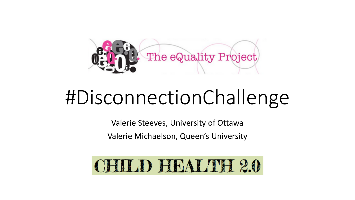

# #DisconnectionChallenge

Valerie Steeves, University of Ottawa Valerie Michaelson, Queen's University

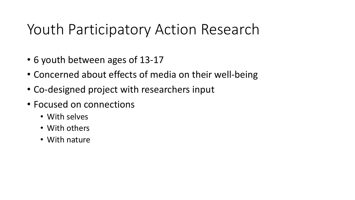#### Youth Participatory Action Research

- 6 youth between ages of 13-17
- Concerned about effects of media on their well-being
- Co-designed project with researchers input
- Focused on connections
	- With selves
	- With others
	- With nature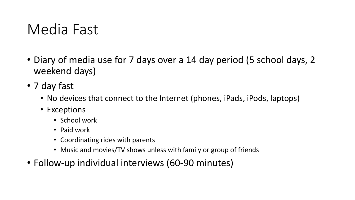#### Media Fast

- Diary of media use for 7 days over a 14 day period (5 school days, 2) weekend days)
- 7 day fast
	- No devices that connect to the Internet (phones, iPads, iPods, laptops)
	- Exceptions
		- School work
		- Paid work
		- Coordinating rides with parents
		- Music and movies/TV shows unless with family or group of friends
- Follow-up individual interviews (60-90 minutes)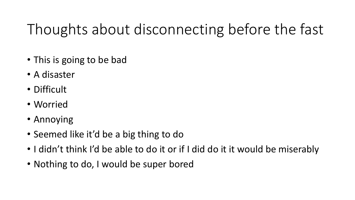# Thoughts about disconnecting before the fast

- This is going to be bad
- A disaster
- Difficult
- Worried
- Annoying
- Seemed like it'd be a big thing to do
- I didn't think I'd be able to do it or if I did do it it would be miserably
- Nothing to do, I would be super bored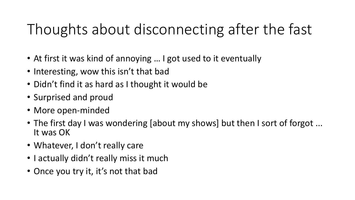# Thoughts about disconnecting after the fast

- At first it was kind of annoying ... I got used to it eventually
- Interesting, wow this isn't that bad
- Didn't find it as hard as I thought it would be
- Surprised and proud
- More open-minded
- The first day I was wondering [about my shows] but then I sort of forgot ...<br>It was OK
- Whatever, I don't really care
- I actually didn't really miss it much
- Once you try it, it's not that bad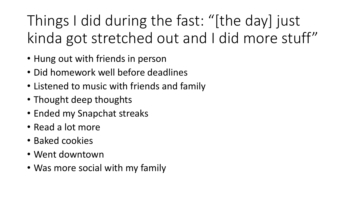Things I did during the fast: "[the day] just kinda got stretched out and I did more stuff"

- Hung out with friends in person
- Did homework well before deadlines
- Listened to music with friends and family
- Thought deep thoughts
- Ended my Snapchat streaks
- Read a lot more
- Baked cookies
- Went downtown
- Was more social with my family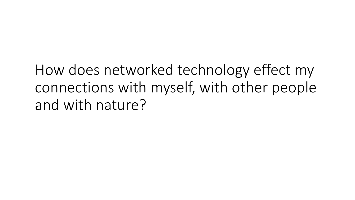How does networked technology effect my connections with myself, with other people and with nature?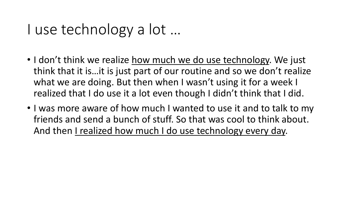#### I use technology a lot ...

- I don't think we realize how much we do use technology. We just think that it is...it is just part of our routine and so we don't realize what we are doing. But then when I wasn't using it for a week I realized that I do use it a lot even though I didn't think that I did.
- I was more aware of how much I wanted to use it and to talk to my friends and send a bunch of stuff. So that was cool to think about. And then I realized how much I do use technology every day.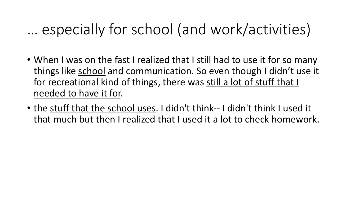#### ... especially for school (and work/activities)

- When I was on the fast I realized that I still had to use it for so many things like school and communication. So even though I didn't use it for recreational kind of things, there was still a lot of stuff that I needed to have it for.
- the stuff that the school uses. I didn't think-- I didn't think I used it that much but then I realized that I used it a lot to check homework.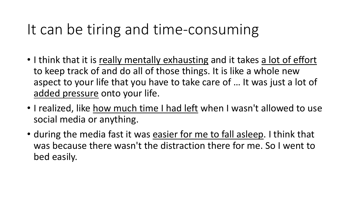#### It can be tiring and time-consuming

- I think that it is really mentally exhausting and it takes a lot of effort to keep track of and do all of those things. It is like a whole new aspect to your life that you have to take care of ... It was just a lot of added pressure onto your life.
- I realized, like how much time I had left when I wasn't allowed to use social media or anything.
- during the media fast it was easier for me to fall asleep. I think that was because there wasn't the distraction there for me. So I went to bed easily.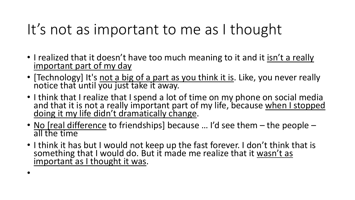## It's not as important to me as I thought

- I realized that it doesn't have too much meaning to it and it <u>isn't a really</u><br>important part of my day
- [Technology] It's not a big of a part as you think it is. Like, you never really notice that until you just take it away.
- I think that I realize that I spend a lot of time on my phone on social media and that it is not a really important part of my life, because when I stopped doing it my life didn't dramatically change.
- No [real difference to friendships] because ... I'd see them the people all the time
- I think it has but I would not keep up the fast forever. I don't think that is something that I would do. But it made me realize that it wasn't as important as I thought it was.

•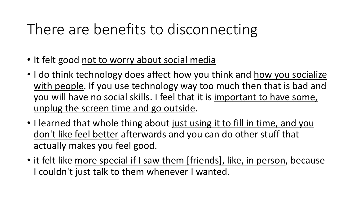## There are benefits to disconnecting

- It felt good not to worry about social media
- I do think technology does affect how you think and how you socialize with people. If you use technology way too much then that is bad and you will have no social skills. I feel that it is important to have some, unplug the screen time and go outside.
- I learned that whole thing about just using it to fill in time, and you don't like feel better afterwards and you can do other stuff that actually makes you feel good.
- it felt like more special if I saw them [friends], like, in person, because I couldn't just talk to them whenever I wanted.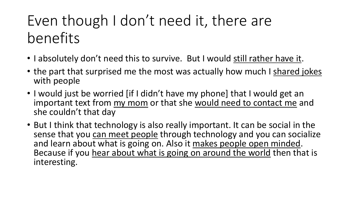## Even though I don't need it, there are benefits

- I absolutely don't need this to survive. But I would still rather have it.
- the part that surprised me the most was actually how much I shared jokes with people
- I would just be worried [if I didn't have my phone] that I would get an important text from my mom or that she would need to contact me and she couldn't that day
- But I think that technology is also really important. It can be social in the sense that you can meet people through technology and you can socialize<br>and learn about what is going on. Also it makes people open minded. Because if you hear about what is going on around the world then that is interesting.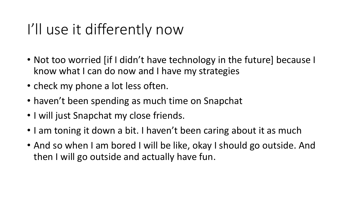#### I'll use it differently now

- Not too worried [if I didn't have technology in the future] because I know what I can do now and I have my strategies
- check my phone a lot less often.
- haven't been spending as much time on Snapchat
- I will just Snapchat my close friends.
- I am toning it down a bit. I haven't been caring about it as much
- And so when I am bored I will be like, okay I should go outside. And then I will go outside and actually have fun.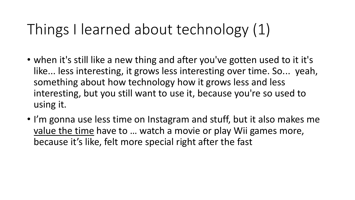### Things I learned about technology (1)

- when it's still like a new thing and after you've gotten used to it it's like... less interesting, it grows less interesting over time. So... yeah, something about how technology how it grows less and less interesting, but you still want to use it, because you're so used to using it.
- I'm gonna use less time on Instagram and stuff, but it also makes me value the time have to ... watch a movie or play Wii games more, because it's like, felt more special right after the fast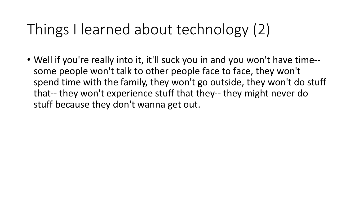## Things I learned about technology (2)

• Well if you're really into it, it'll suck you in and you won't have time-some people won't talk to other people face to face, they won't spend time with the family, they won't go outside, they won't do stuff that-- they won't experience stuff that they-- they might never do stuff because they don't wanna get out.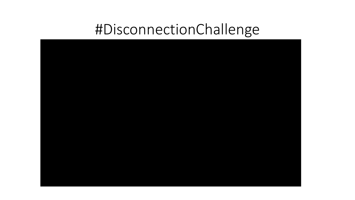### #DisconnectionChallenge